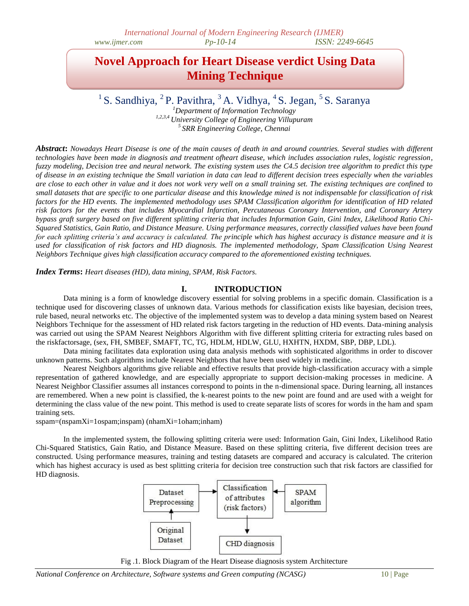# **Novel Approach for Heart Disease verdict Using Data Mining Technique**

# <sup>1</sup> S. Sandhiya, <sup>2</sup> P. Pavithra, <sup>3</sup> A. Vidhya, <sup>4</sup> S. Jegan, <sup>5</sup> S. Saranya

*<sup>1</sup>Department of Information Technology 1,2,3,4 University College of Engineering Villupuram <sup>5</sup>SRR Engineering College, Chennai*

*Abstract***:** *Nowadays Heart Disease is one of the main causes of death in and around countries. Several studies with different technologies have been made in diagnosis and treatment ofheart disease, which includes association rules, logistic regression, fuzzy modeling, Decision tree and neural network. The existing system uses the C4.5 decision tree algorithm to predict this type of disease in an existing technique the Small variation in data can lead to different decision trees especially when the variables are close to each other in value and it does not work very well on a small training set. The existing techniques are confined to small datasets that are specific to one particular disease and this knowledge mined is not indispensable for classification of risk factors for the HD events. The implemented methodology uses SPAM Classification algorithm for identification of HD related risk factors for the events that includes Myocardial Infarction, Percutaneous Coronary Intervention, and Coronary Artery bypass graft surgery based on five different splitting criteria that includes Information Gain, Gini Index, Likelihood Ratio Chi-Squared Statistics, Gain Ratio, and Distance Measure. Using performance measures, correctly classified values have been found for each splitting criteria's and accuracy is calculated. The principle which has highest accuracy is distance measure and it is used for classification of risk factors and HD diagnosis. The implemented methodology, Spam Classification Using Nearest Neighbors Technique gives high classification accuracy compared to the aforementioned existing techniques.*

*Index Terms***:** *Heart diseases (HD), data mining, SPAM, Risk Factors.*

## **I. INTRODUCTION**

Data mining is a form of knowledge discovery essential for solving problems in a specific domain. Classification is a technique used for discovering classes of unknown data. Various methods for classification exists like bayesian, decision trees, rule based, neural networks etc. The objective of the implemented system was to develop a data mining system based on Nearest Neighbors Technique for the assessment of HD related risk factors targeting in the reduction of HD events. Data-mining analysis was carried out using the SPAM Nearest Neighbors Algorithm with five different splitting criteria for extracting rules based on the riskfactorsage, (sex, FH, SMBEF, SMAFT, TC, TG, HDLM, HDLW, GLU, HXHTN, HXDM, SBP, DBP, LDL).

Data mining facilitates data exploration using data analysis methods with sophisticated algorithms in order to discover unknown patterns. Such algorithms include Nearest Neighbors that have been used widely in medicine.

Nearest Neighbors algorithms give reliable and effective results that provide high-classification accuracy with a simple representation of gathered knowledge, and are especially appropriate to support decision-making processes in medicine. A Nearest Neighbor Classifier assumes all instances correspond to points in the n-dimensional space. During learning, all instances are remembered. When a new point is classified, the k-nearest points to the new point are found and are used with a weight for determining the class value of the new point. This method is used to create separate lists of scores for words in the ham and spam training sets.

sspam=(nspamXi=1ospam;inspam) (nhamXi=1oham;inham)

In the implemented system, the following splitting criteria were used: Information Gain, Gini Index, Likelihood Ratio Chi-Squared Statistics, Gain Ratio, and Distance Measure. Based on these splitting criteria, five different decision trees are constructed. Using performance measures, training and testing datasets are compared and accuracy is calculated. The criterion which has highest accuracy is used as best splitting criteria for decision tree construction such that risk factors are classified for HD diagnosis.



Fig .1. Block Diagram of the Heart Disease diagnosis system Architecture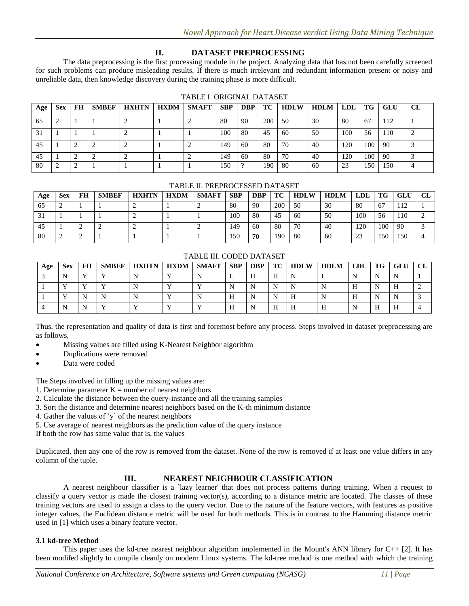# **II. DATASET PREPROCESSING**

The data preprocessing is the first processing module in the project. Analyzing data that has not been carefully screened for such problems can produce misleading results. If there is much irrelevant and redundant information present or noisy and unreliable data, then knowledge discovery during the training phase is more difficult.

| Age | <b>Sex</b> | FH | <b>SMBEF</b> | <b>HXHTN</b> | <b>HXDM</b> | <b>SMAFT</b> | <b>SBP</b> | <b>DBP</b> | TC  | <b>HDLW</b> | HDLM | LDL | TG  | GLU | CL |
|-----|------------|----|--------------|--------------|-------------|--------------|------------|------------|-----|-------------|------|-----|-----|-----|----|
| 65  | ∸          |    |              |              |             |              | 80         | 90         | 200 | 50          | 30   | 80  | 67  | 112 |    |
| 31  |            |    |              |              |             |              | 100        | 80         | 45  | -60         | 50   | 100 | 56  | 110 |    |
| 45  |            |    |              |              |             |              | 149        | 60         | 80  | 70          | 40   | 120 | 100 | 90  |    |
| 45  |            |    |              |              |             |              | 149        | 60         | 80  | 70          | 40   | 120 | 100 | 90  |    |
| 80  |            |    |              |              |             |              | 150        |            | 190 | 80          | 60   | 23  | 150 | 150 |    |

## TABLE I. ORIGINAL DATASET

## TABLE II. PREPROCESSED DATASET

| Age | <b>Sex</b> | FH | <b>SMBEF</b> | <b>HXHTN</b> | <b>HXDM</b> | <b>SMAFT</b> | <b>SBP</b> | <b>DBP</b> | TC  | <b>HDLW</b> | <b>HDLM</b> | <b>LDL</b> | TG  | <b>GLU</b> | $\alpha$ |
|-----|------------|----|--------------|--------------|-------------|--------------|------------|------------|-----|-------------|-------------|------------|-----|------------|----------|
| 65  |            |    |              |              |             | -            | 80         | 90         | 200 | 50          | 30          | 80         | -67 | 110        |          |
| 21  |            |    |              |              |             |              | 100        | 80         | 45  | 60          | 50          | 100        | 56  | 110        | ∼        |
| 45  |            |    |              |              |             |              | 149        | 60         | 80  | 70          | 40          | 120        | 100 | 90         |          |
| 80  |            |    |              |              |             |              | 150        | 70         | 190 | 80          | 60          | 23         | 150 | 150        | 4        |

#### TABLE III. CODED DATASET

| Age | Sex | FH | <b>SMBEF</b> | <b>HXHTN</b> | <b>HXDM</b> | <b>SMAFT</b> | <b>SBP</b> | <b>DBP</b> |   | TC   HDLW | <b>HDLM</b> | LDL | TG | GLU |  |
|-----|-----|----|--------------|--------------|-------------|--------------|------------|------------|---|-----------|-------------|-----|----|-----|--|
|     |     |    |              |              |             |              | . .        |            | Н |           |             |     | N  |     |  |
|     |     |    |              |              |             |              |            |            |   |           |             | H   |    | п   |  |
|     |     |    |              |              |             |              |            |            |   | п         | N           | H   | N  |     |  |
|     |     |    |              |              |             |              |            |            | Н |           | н           |     | Н  | п   |  |

Thus, the representation and quality of data is first and foremost before any process. Steps involved in dataset preprocessing are as follows,

- Missing values are filled using K-Nearest Neighbor algorithm
- Duplications were removed
- Data were coded

The Steps involved in filling up the missing values are:

- 1. Determine parameter  $K =$  number of nearest neighbors
- 2. Calculate the distance between the query-instance and all the training samples
- 3. Sort the distance and determine nearest neighbors based on the K-th minimum distance
- 4. Gather the values of "y" of the nearest neighbors
- 5. Use average of nearest neighbors as the prediction value of the query instance

If both the row has same value that is, the values

Duplicated, then any one of the row is removed from the dataset. None of the row is removed if at least one value differs in any column of the tuple.

## **III. NEAREST NEIGHBOUR CLASSIFICATION**

A nearest neighbour classifier is a `lazy learner' that does not process patterns during training. When a request to classify a query vector is made the closest training vector(s), according to a distance metric are located. The classes of these training vectors are used to assign a class to the query vector. Due to the nature of the feature vectors, with features as positive integer values, the Euclidean distance metric will be used for both methods. This is in contrast to the Hamming distance metric used in [1] which uses a binary feature vector.

## **3.1 kd-tree Method**

This paper uses the kd-tree nearest neighbour algorithm implemented in the Mount's ANN library for  $C_{++}$  [2]. It has been modifed slightly to compile cleanly on modern Linux systems. The kd-tree method is one method with which the training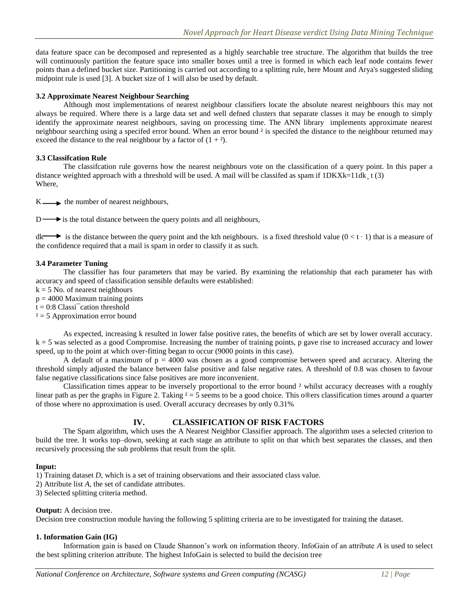data feature space can be decomposed and represented as a highly searchable tree structure. The algorithm that builds the tree will continuously partition the feature space into smaller boxes until a tree is formed in which each leaf node contains fewer points than a defined bucket size. Partitioning is carried out according to a splitting rule, here Mount and Arya's suggested sliding midpoint rule is used [3]. A bucket size of 1 will also be used by default.

### **3.2 Approximate Nearest Neighbour Searching**

Although most implementations of nearest neighbour classifiers locate the absolute nearest neighbours this may not always be required. Where there is a large data set and well defned clusters that separate classes it may be enough to simply identify the approximate nearest neighbours, saving on processing time. The ANN library implements approximate nearest neighbour searching using a specifed error bound. When an error bound  $\frac{2}{3}$  is specifed the distance to the neighbour returned may exceed the distance to the real neighbour by a factor of  $(1 + 2)$ .

#### **3.3 Classifcation Rule**

The classifcation rule governs how the nearest neighbours vote on the classification of a query point. In this paper a distance weighted approach with a threshold will be used. A mail will be classifed as spam if  $1DKXk=11dk$ ,  $t(3)$ Where,

 $K \longrightarrow$  the number of nearest neighbours,

 $D \longrightarrow$  is the total distance between the query points and all neighbours,

 $d\mathbf{k}$  is the distance between the query point and the kth neighbours. is a fixed threshold value ( $0 < t \cdot 1$ ) that is a measure of the confidence required that a mail is spam in order to classify it as such.

#### **3.4 Parameter Tuning**

The classifier has four parameters that may be varied. By examining the relationship that each parameter has with accuracy and speed of classification sensible defaults were established:

- $k = 5$  No. of nearest neighbours
- $p = 4000$  Maximum training points
- $t = 0:8$  Classi<sup> $-$ </sup>cation threshold
- $z = 5$  Approximation error bound

As expected, increasing k resulted in lower false positive rates, the benefits of which are set by lower overall accuracy. k = 5 was selected as a good Compromise. Increasing the number of training points, p gave rise to increased accuracy and lower speed, up to the point at which over-fitting began to occur (9000 points in this case).

A default of a maximum of  $p = 4000$  was chosen as a good compromise between speed and accuracy. Altering the threshold simply adjusted the balance between false positive and false negative rates. A threshold of 0.8 was chosen to favour false negative classifications since false positives are more inconvenient.

Classification times appear to be inversely proportional to the error bound ² whilst accuracy decreases with a roughly linear path as per the graphs in Figure 2. Taking  $2 = 5$  seems to be a good choice. This o®ers classification times around a quarter of those where no approximation is used. Overall accuracy decreases by only 0.31%

# **IV. CLASSIFICATION OF RISK FACTORS**

The Spam algorithm, which uses the A Nearest Neighbor Classifier approach. The algorithm uses a selected criterion to build the tree. It works top–down, seeking at each stage an attribute to split on that which best separates the classes, and then recursively processing the sub problems that result from the split.

#### **Input:**

1) Training dataset *D*, which is a set of training observations and their associated class value.

- 2) Attribute list *A*, the set of candidate attributes.
- 3) Selected splitting criteria method.

## **Output:** A decision tree.

Decision tree construction module having the following 5 splitting criteria are to be investigated for training the dataset.

## **1. Information Gain (IG)**

Information gain is based on Claude Shannon"s work on information theory. InfoGain of an attribute *A* is used to select the best splitting criterion attribute. The highest InfoGain is selected to build the decision tree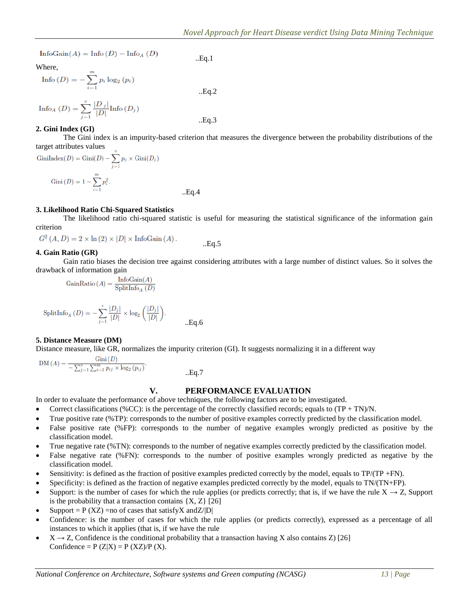$\text{InfoGain}(A) = \text{Info}(D) - \text{Info}_A(D)$ 

Where,

Info 
$$
(D) = -\sum_{i=1}^{m} p_i \log_2 (p_i)
$$
 .Eq.2

$$
\text{Info}_{A} (D) = \sum_{j=1}^{v} \frac{|D_{j}|}{|D|} \text{Info}(D_{j})
$$
 ...  
Eq.3

**2. Gini Index (GI)**

The Gini index is an impurity-based criterion that measures the divergence between the probability distributions of the target attributes values

..Eq.1

..Eq.4

GiniIndex(D) = Gini(D) - 
$$
\sum_{j=1}^{v} p_j \times Gini(D_j)
$$
  
\nGini(D) =  $1 - \sum_{i=1}^{m} p_i^2$ .

#### **3. Likelihood Ratio Chi-Squared Statistics**

The likelihood ratio chi-squared statistic is useful for measuring the statistical significance of the information gain criterion

 $G^2(A, D) = 2 \times \ln(2) \times |D| \times \text{InfoGain}(A)$ . ..Eq.5

## **4. Gain Ratio (GR)**

Gain ratio biases the decision tree against considering attributes with a large number of distinct values. So it solves the drawback of information gain

$$
GainRatio (A) = \frac{InfoGain(A)}{SplitInfo_A (D)}
$$

$$
\text{SplitInfo}_{A} (D) = -\sum_{j=1}^{v} \frac{|D_j|}{|D|} \times \log_2 \left( \frac{|D_j|}{|D|} \right).
$$

#### **5. Distance Measure (DM)**

Distance measure, like GR, normalizes the impurity criterion (GI). It suggests normalizing it in a different way

$$
DM(A) = \frac{Gini(D)}{-\sum_{j=1}^{v} \sum_{i=1}^{m} p_{ij} \times \log_2 (p_{ij})}.
$$

 $a.7$ 

## **V. PERFORMANCE EVALUATION**

In order to evaluate the performance of above techniques, the following factors are to be investigated.

- Correct classifications (%CC): is the percentage of the correctly classified records; equals to  $(TP + TN)/N$ .
- True positive rate (%TP): corresponds to the number of positive examples correctly predicted by the classification model.
- False positive rate (%FP): corresponds to the number of negative examples wrongly predicted as positive by the classification model.
- True negative rate (%TN): corresponds to the number of negative examples correctly predicted by the classification model.
- False negative rate (%FN): corresponds to the number of positive examples wrongly predicted as negative by the classification model.
- Sensitivity: is defined as the fraction of positive examples predicted correctly by the model, equals to TP/(TP +FN).
- Specificity: is defined as the fraction of negative examples predicted correctly by the model, equals to TN/(TN+FP).
- Support: is the number of cases for which the rule applies (or predicts correctly; that is, if we have the rule  $X \rightarrow Z$ , Support is the probability that a transaction contains  $\{X, Z\}$  [26]
- Support =  $P$  (XZ) = no of cases that satisfy X and Z/|D|
- Confidence: is the number of cases for which the rule applies (or predicts correctly), expressed as a percentage of all instances to which it applies (that is, if we have the rule
- $X \rightarrow Z$ , Confidence is the conditional probability that a transaction having X also contains Z) [26] Confidence =  $P(Z|X) = P(XZ)/P(X)$ .